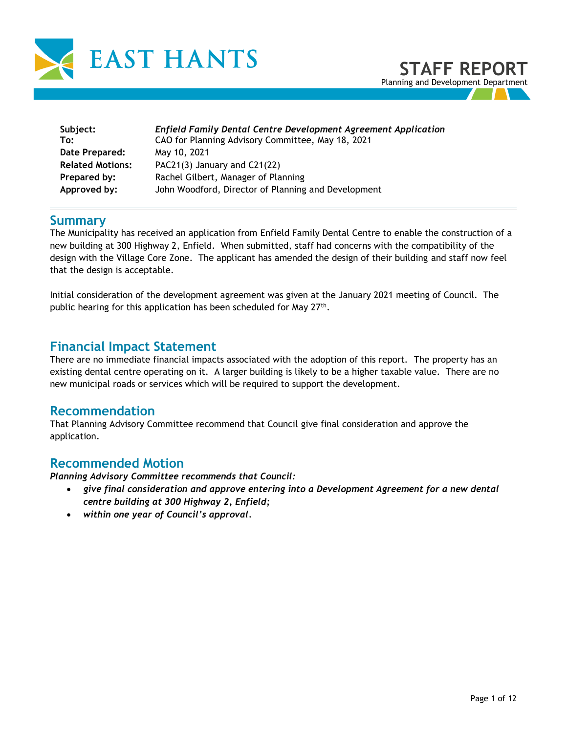

| Subject:                | <b>Enfield Family Dental Centre Development Agreement Application</b> |
|-------------------------|-----------------------------------------------------------------------|
| To:                     | CAO for Planning Advisory Committee, May 18, 2021                     |
| Date Prepared:          | May 10, 2021                                                          |
| <b>Related Motions:</b> | PAC21(3) January and C21(22)                                          |
| Prepared by:            | Rachel Gilbert, Manager of Planning                                   |
| Approved by:            | John Woodford, Director of Planning and Development                   |

## **Summary**

The Municipality has received an application from Enfield Family Dental Centre to enable the construction of a new building at 300 Highway 2, Enfield. When submitted, staff had concerns with the compatibility of the design with the Village Core Zone. The applicant has amended the design of their building and staff now feel that the design is acceptable.

Initial consideration of the development agreement was given at the January 2021 meeting of Council. The public hearing for this application has been scheduled for May 27<sup>th</sup>.

## **Financial Impact Statement**

There are no immediate financial impacts associated with the adoption of this report. The property has an existing dental centre operating on it. A larger building is likely to be a higher taxable value. There are no new municipal roads or services which will be required to support the development.

## **Recommendation**

That Planning Advisory Committee recommend that Council give final consideration and approve the application.

## **Recommended Motion**

*Planning Advisory Committee recommends that Council:* 

- *give final consideration and approve entering into a Development Agreement for a new dental centre building at 300 Highway 2, Enfield;*
- *within one year of Council's approval.*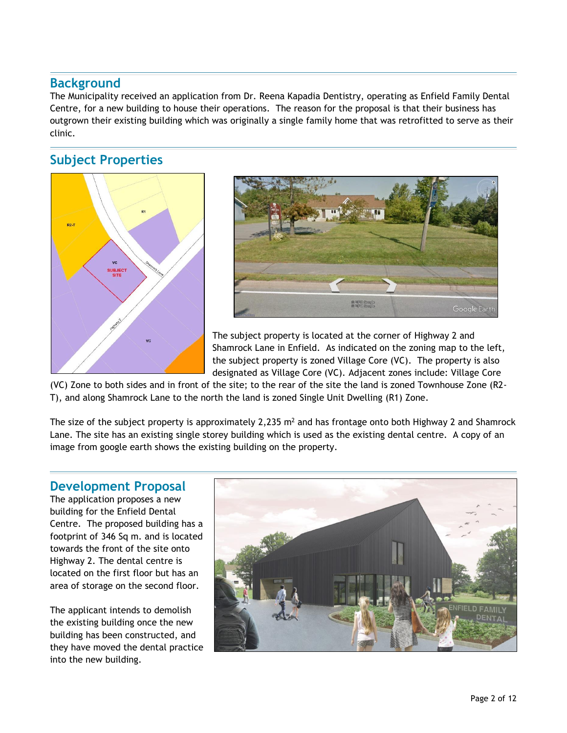## **Background**

The Municipality received an application from Dr. Reena Kapadia Dentistry, operating as Enfield Family Dental Centre, for a new building to house their operations. The reason for the proposal is that their business has outgrown their existing building which was originally a single family home that was retrofitted to serve as their clinic.

## **Subject Properties**





The subject property is located at the corner of Highway 2 and Shamrock Lane in Enfield. As indicated on the zoning map to the left, the subject property is zoned Village Core (VC). The property is also designated as Village Core (VC). Adjacent zones include: Village Core

(VC) Zone to both sides and in front of the site; to the rear of the site the land is zoned Townhouse Zone (R2- T), and along Shamrock Lane to the north the land is zoned Single Unit Dwelling (R1) Zone.

The size of the subject property is approximately 2,235  $m<sup>2</sup>$  and has frontage onto both Highway 2 and Shamrock Lane. The site has an existing single storey building which is used as the existing dental centre. A copy of an image from google earth shows the existing building on the property.

## **Development Proposal**

The application proposes a new building for the Enfield Dental Centre. The proposed building has a footprint of 346 Sq m. and is located towards the front of the site onto Highway 2. The dental centre is located on the first floor but has an area of storage on the second floor.

The applicant intends to demolish the existing building once the new building has been constructed, and they have moved the dental practice into the new building.

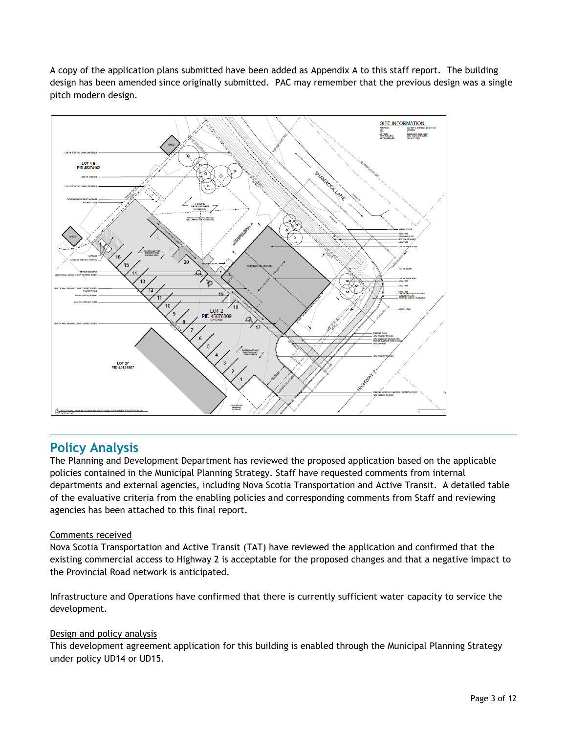A copy of the application plans submitted have been added as Appendix A to this staff report. The building design has been amended since originally submitted. PAC may remember that the previous design was a single pitch modern design.



## **Policy Analysis**

The Planning and Development Department has reviewed the proposed application based on the applicable policies contained in the Municipal Planning Strategy. Staff have requested comments from internal departments and external agencies, including Nova Scotia Transportation and Active Transit. A detailed table of the evaluative criteria from the enabling policies and corresponding comments from Staff and reviewing agencies has been attached to this final report.

#### Comments received

Nova Scotia Transportation and Active Transit (TAT) have reviewed the application and confirmed that the existing commercial access to Highway 2 is acceptable for the proposed changes and that a negative impact to the Provincial Road network is anticipated.

Infrastructure and Operations have confirmed that there is currently sufficient water capacity to service the development.

#### Design and policy analysis

This development agreement application for this building is enabled through the Municipal Planning Strategy under policy UD14 or UD15.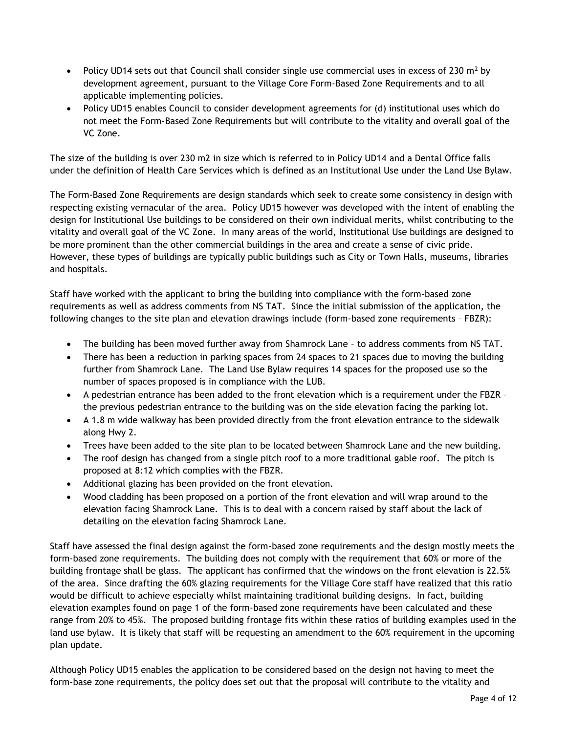- Policy UD14 sets out that Council shall consider single use commercial uses in excess of 230  $m<sup>2</sup>$  by development agreement, pursuant to the Village Core Form-Based Zone Requirements and to all applicable implementing policies.
- Policy UD15 enables Council to consider development agreements for (d) institutional uses which do not meet the Form-Based Zone Requirements but will contribute to the vitality and overall goal of the VC Zone.

The size of the building is over 230 m2 in size which is referred to in Policy UD14 and a Dental Office falls under the definition of Health Care Services which is defined as an Institutional Use under the Land Use Bylaw.

The Form-Based Zone Requirements are design standards which seek to create some consistency in design with respecting existing vernacular of the area. Policy UD15 however was developed with the intent of enabling the design for Institutional Use buildings to be considered on their own individual merits, whilst contributing to the vitality and overall goal of the VC Zone. In many areas of the world, Institutional Use buildings are designed to be more prominent than the other commercial buildings in the area and create a sense of civic pride. However, these types of buildings are typically public buildings such as City or Town Halls, museums, libraries and hospitals.

Staff have worked with the applicant to bring the building into compliance with the form-based zone requirements as well as address comments from NS TAT. Since the initial submission of the application, the following changes to the site plan and elevation drawings include (form-based zone requirements – FBZR):

- The building has been moved further away from Shamrock Lane to address comments from NS TAT.
- There has been a reduction in parking spaces from 24 spaces to 21 spaces due to moving the building further from Shamrock Lane. The Land Use Bylaw requires 14 spaces for the proposed use so the number of spaces proposed is in compliance with the LUB.
- A pedestrian entrance has been added to the front elevation which is a requirement under the FBZR the previous pedestrian entrance to the building was on the side elevation facing the parking lot.
- A 1.8 m wide walkway has been provided directly from the front elevation entrance to the sidewalk along Hwy 2.
- Trees have been added to the site plan to be located between Shamrock Lane and the new building.
- The roof design has changed from a single pitch roof to a more traditional gable roof. The pitch is proposed at 8:12 which complies with the FBZR.
- Additional glazing has been provided on the front elevation.
- Wood cladding has been proposed on a portion of the front elevation and will wrap around to the elevation facing Shamrock Lane. This is to deal with a concern raised by staff about the lack of detailing on the elevation facing Shamrock Lane.

Staff have assessed the final design against the form-based zone requirements and the design mostly meets the form-based zone requirements. The building does not comply with the requirement that 60% or more of the building frontage shall be glass. The applicant has confirmed that the windows on the front elevation is 22.5% of the area. Since drafting the 60% glazing requirements for the Village Core staff have realized that this ratio would be difficult to achieve especially whilst maintaining traditional building designs. In fact, building elevation examples found on page 1 of the form-based zone requirements have been calculated and these range from 20% to 45%. The proposed building frontage fits within these ratios of building examples used in the land use bylaw. It is likely that staff will be requesting an amendment to the 60% requirement in the upcoming plan update.

Although Policy UD15 enables the application to be considered based on the design not having to meet the form-base zone requirements, the policy does set out that the proposal will contribute to the vitality and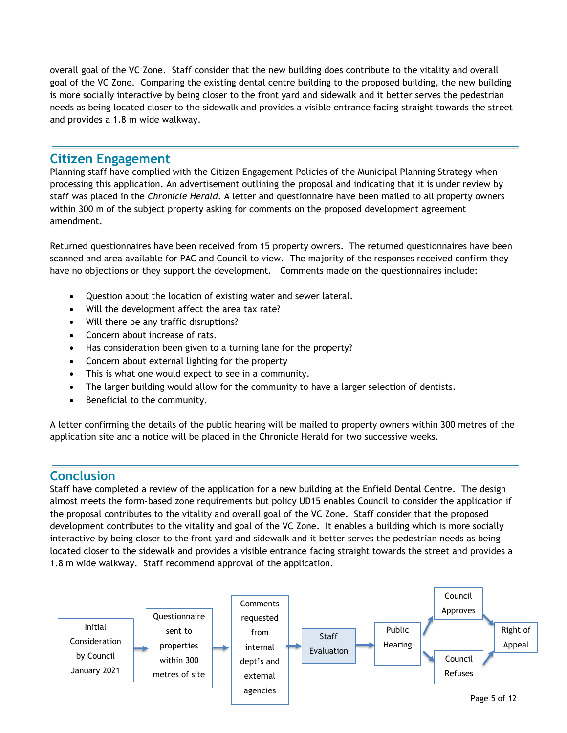overall goal of the VC Zone. Staff consider that the new building does contribute to the vitality and overall goal of the VC Zone. Comparing the existing dental centre building to the proposed building, the new building is more socially interactive by being closer to the front yard and sidewalk and it better serves the pedestrian needs as being located closer to the sidewalk and provides a visible entrance facing straight towards the street and provides a 1.8 m wide walkway.

## **Citizen Engagement**

Planning staff have complied with the Citizen Engagement Policies of the Municipal Planning Strategy when processing this application. An advertisement outlining the proposal and indicating that it is under review by staff was placed in the *Chronicle Herald*. A letter and questionnaire have been mailed to all property owners within 300 m of the subject property asking for comments on the proposed development agreement amendment.

Returned questionnaires have been received from 15 property owners. The returned questionnaires have been scanned and area available for PAC and Council to view. The majority of the responses received confirm they have no objections or they support the development. Comments made on the questionnaires include:

- Question about the location of existing water and sewer lateral.
- Will the development affect the area tax rate?
- Will there be any traffic disruptions?
- Concern about increase of rats.
- Has consideration been given to a turning lane for the property?
- Concern about external lighting for the property
- This is what one would expect to see in a community.
- The larger building would allow for the community to have a larger selection of dentists.
- Beneficial to the community.

A letter confirming the details of the public hearing will be mailed to property owners within 300 metres of the application site and a notice will be placed in the Chronicle Herald for two successive weeks.

## **Conclusion**

Staff have completed a review of the application for a new building at the Enfield Dental Centre. The design almost meets the form-based zone requirements but policy UD15 enables Council to consider the application if the proposal contributes to the vitality and overall goal of the VC Zone. Staff consider that the proposed development contributes to the vitality and goal of the VC Zone. It enables a building which is more socially interactive by being closer to the front yard and sidewalk and it better serves the pedestrian needs as being located closer to the sidewalk and provides a visible entrance facing straight towards the street and provides a 1.8 m wide walkway. Staff recommend approval of the application.

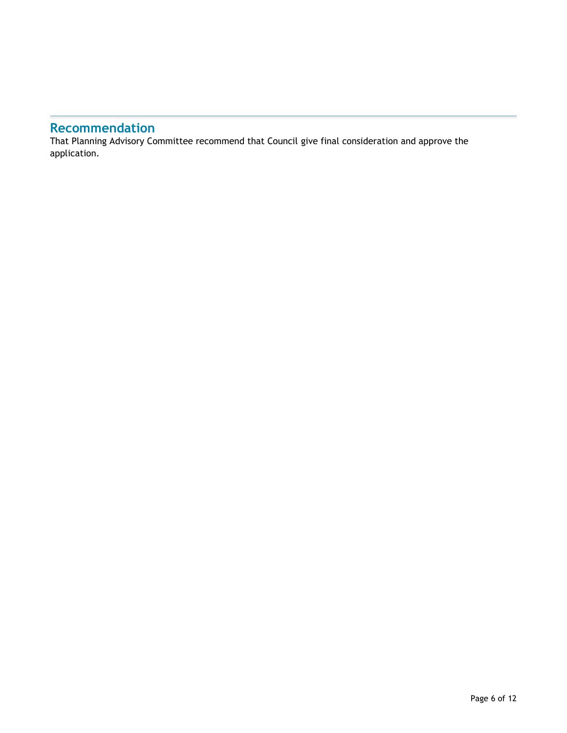# **Recommendation**

That Planning Advisory Committee recommend that Council give final consideration and approve the application.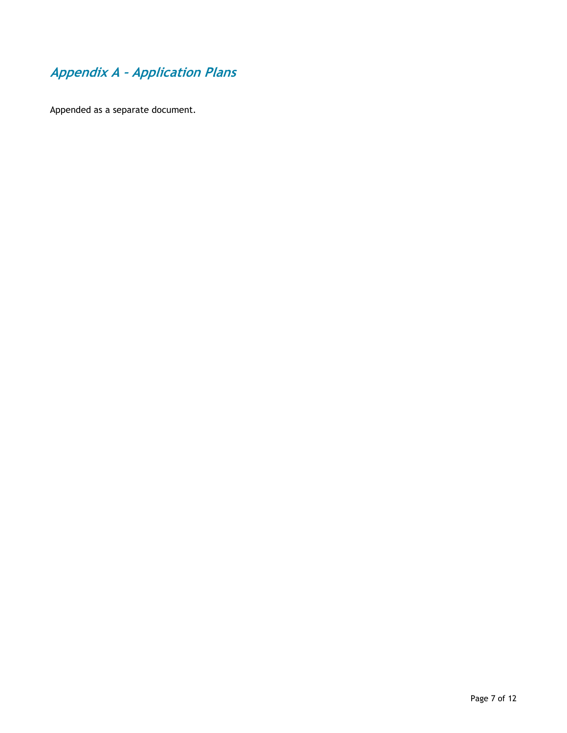# **Appendix A – Application Plans**

Appended as a separate document.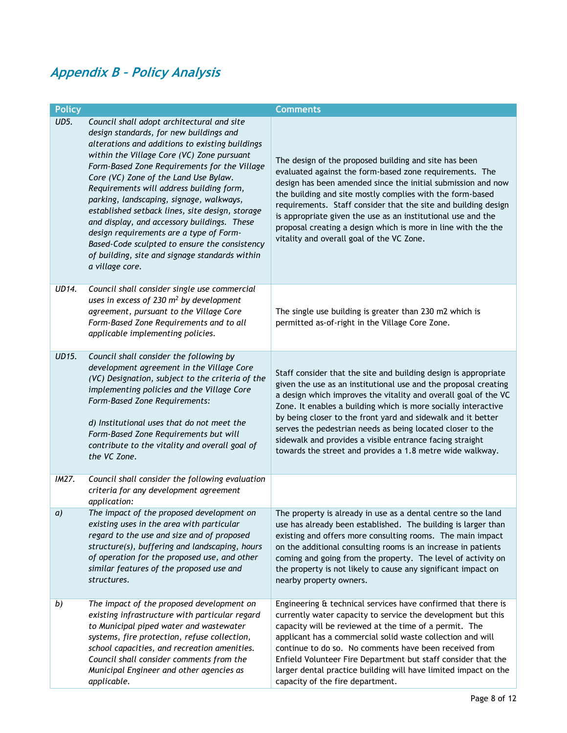# **Appendix B – Policy Analysis**

| <b>Policy</b> |                                                                                                                                                                                                                                                                                                                                                                                                                                                                                                                                                                                                                                            | <b>Comments</b>                                                                                                                                                                                                                                                                                                                                                                                                                                                                                                                |
|---------------|--------------------------------------------------------------------------------------------------------------------------------------------------------------------------------------------------------------------------------------------------------------------------------------------------------------------------------------------------------------------------------------------------------------------------------------------------------------------------------------------------------------------------------------------------------------------------------------------------------------------------------------------|--------------------------------------------------------------------------------------------------------------------------------------------------------------------------------------------------------------------------------------------------------------------------------------------------------------------------------------------------------------------------------------------------------------------------------------------------------------------------------------------------------------------------------|
| UD5.          | Council shall adopt architectural and site<br>design standards, for new buildings and<br>alterations and additions to existing buildings<br>within the Village Core (VC) Zone pursuant<br>Form-Based Zone Requirements for the Village<br>Core (VC) Zone of the Land Use Bylaw.<br>Requirements will address building form,<br>parking, landscaping, signage, walkways,<br>established setback lines, site design, storage<br>and display, and accessory buildings. These<br>design requirements are a type of Form-<br>Based-Code sculpted to ensure the consistency<br>of building, site and signage standards within<br>a village core. | The design of the proposed building and site has been<br>evaluated against the form-based zone requirements. The<br>design has been amended since the initial submission and now<br>the building and site mostly complies with the form-based<br>requirements. Staff consider that the site and building design<br>is appropriate given the use as an institutional use and the<br>proposal creating a design which is more in line with the the<br>vitality and overall goal of the VC Zone.                                  |
| UD14.         | Council shall consider single use commercial<br>uses in excess of 230 $m2$ by development<br>agreement, pursuant to the Village Core<br>Form-Based Zone Requirements and to all<br>applicable implementing policies.                                                                                                                                                                                                                                                                                                                                                                                                                       | The single use building is greater than 230 m2 which is<br>permitted as-of-right in the Village Core Zone.                                                                                                                                                                                                                                                                                                                                                                                                                     |
| UD15.         | Council shall consider the following by<br>development agreement in the Village Core<br>(VC) Designation, subject to the criteria of the<br>implementing policies and the Village Core<br>Form-Based Zone Requirements:<br>d) Institutional uses that do not meet the<br>Form-Based Zone Requirements but will<br>contribute to the vitality and overall goal of<br>the VC Zone.                                                                                                                                                                                                                                                           | Staff consider that the site and building design is appropriate<br>given the use as an institutional use and the proposal creating<br>a design which improves the vitality and overall goal of the VC<br>Zone. It enables a building which is more socially interactive<br>by being closer to the front yard and sidewalk and it better<br>serves the pedestrian needs as being located closer to the<br>sidewalk and provides a visible entrance facing straight<br>towards the street and provides a 1.8 metre wide walkway. |
| IM27.         | Council shall consider the following evaluation<br>criteria for any development agreement<br>application:                                                                                                                                                                                                                                                                                                                                                                                                                                                                                                                                  |                                                                                                                                                                                                                                                                                                                                                                                                                                                                                                                                |
| a)            | The impact of the proposed development on<br>existing uses in the area with particular<br>regard to the use and size and of proposed<br>structure(s), buffering and landscaping, hours<br>of operation for the proposed use, and other<br>similar features of the proposed use and<br>structures.                                                                                                                                                                                                                                                                                                                                          | The property is already in use as a dental centre so the land<br>use has already been established. The building is larger than<br>existing and offers more consulting rooms. The main impact<br>on the additional consulting rooms is an increase in patients<br>coming and going from the property. The level of activity on<br>the property is not likely to cause any significant impact on<br>nearby property owners.                                                                                                      |
| b)            | The impact of the proposed development on<br>existing infrastructure with particular regard<br>to Municipal piped water and wastewater<br>systems, fire protection, refuse collection,<br>school capacities, and recreation amenities.<br>Council shall consider comments from the<br>Municipal Engineer and other agencies as<br>applicable.                                                                                                                                                                                                                                                                                              | Engineering & technical services have confirmed that there is<br>currently water capacity to service the development but this<br>capacity will be reviewed at the time of a permit. The<br>applicant has a commercial solid waste collection and will<br>continue to do so. No comments have been received from<br>Enfield Volunteer Fire Department but staff consider that the<br>larger dental practice building will have limited impact on the<br>capacity of the fire department.                                        |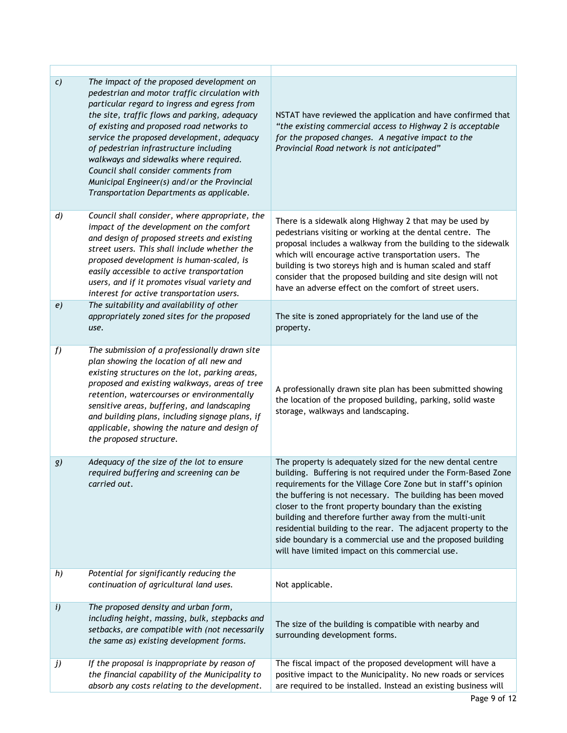| $\mathcal{C}$    | The impact of the proposed development on<br>pedestrian and motor traffic circulation with<br>particular regard to ingress and egress from<br>the site, traffic flows and parking, adequacy<br>of existing and proposed road networks to<br>service the proposed development, adequacy<br>of pedestrian infrastructure including<br>walkways and sidewalks where required.<br>Council shall consider comments from<br>Municipal Engineer(s) and/or the Provincial<br>Transportation Departments as applicable. | NSTAT have reviewed the application and have confirmed that<br>"the existing commercial access to Highway 2 is acceptable<br>for the proposed changes. A negative impact to the<br>Provincial Road network is not anticipated"                                                                                                                                                                                                                                                                                                                                         |
|------------------|----------------------------------------------------------------------------------------------------------------------------------------------------------------------------------------------------------------------------------------------------------------------------------------------------------------------------------------------------------------------------------------------------------------------------------------------------------------------------------------------------------------|------------------------------------------------------------------------------------------------------------------------------------------------------------------------------------------------------------------------------------------------------------------------------------------------------------------------------------------------------------------------------------------------------------------------------------------------------------------------------------------------------------------------------------------------------------------------|
| $\boldsymbol{d}$ | Council shall consider, where appropriate, the<br>impact of the development on the comfort<br>and design of proposed streets and existing<br>street users. This shall include whether the<br>proposed development is human-scaled, is<br>easily accessible to active transportation<br>users, and if it promotes visual variety and<br>interest for active transportation users.                                                                                                                               | There is a sidewalk along Highway 2 that may be used by<br>pedestrians visiting or working at the dental centre. The<br>proposal includes a walkway from the building to the sidewalk<br>which will encourage active transportation users. The<br>building is two storeys high and is human scaled and staff<br>consider that the proposed building and site design will not<br>have an adverse effect on the comfort of street users.                                                                                                                                 |
| e)               | The suitability and availability of other<br>appropriately zoned sites for the proposed<br>use.                                                                                                                                                                                                                                                                                                                                                                                                                | The site is zoned appropriately for the land use of the<br>property.                                                                                                                                                                                                                                                                                                                                                                                                                                                                                                   |
| f                | The submission of a professionally drawn site<br>plan showing the location of all new and<br>existing structures on the lot, parking areas,<br>proposed and existing walkways, areas of tree<br>retention, watercourses or environmentally<br>sensitive areas, buffering, and landscaping<br>and building plans, including signage plans, if<br>applicable, showing the nature and design of<br>the proposed structure.                                                                                        | A professionally drawn site plan has been submitted showing<br>the location of the proposed building, parking, solid waste<br>storage, walkways and landscaping.                                                                                                                                                                                                                                                                                                                                                                                                       |
| g)               | Adequacy of the size of the lot to ensure<br>required buffering and screening can be<br>carried out.                                                                                                                                                                                                                                                                                                                                                                                                           | The property is adequately sized for the new dental centre<br>building. Buffering is not required under the Form-Based Zone<br>requirements for the Village Core Zone but in staff's opinion<br>the buffering is not necessary. The building has been moved<br>closer to the front property boundary than the existing<br>building and therefore further away from the multi-unit<br>residential building to the rear. The adjacent property to the<br>side boundary is a commercial use and the proposed building<br>will have limited impact on this commercial use. |
| h)               | Potential for significantly reducing the<br>continuation of agricultural land uses.                                                                                                                                                                                                                                                                                                                                                                                                                            | Not applicable.                                                                                                                                                                                                                                                                                                                                                                                                                                                                                                                                                        |
| i)               | The proposed density and urban form,<br>including height, massing, bulk, stepbacks and<br>setbacks, are compatible with (not necessarily<br>the same as) existing development forms.                                                                                                                                                                                                                                                                                                                           | The size of the building is compatible with nearby and<br>surrounding development forms.                                                                                                                                                                                                                                                                                                                                                                                                                                                                               |
| j)               | If the proposal is inappropriate by reason of<br>the financial capability of the Municipality to<br>absorb any costs relating to the development.                                                                                                                                                                                                                                                                                                                                                              | The fiscal impact of the proposed development will have a<br>positive impact to the Municipality. No new roads or services<br>are required to be installed. Instead an existing business will                                                                                                                                                                                                                                                                                                                                                                          |

Ť

Г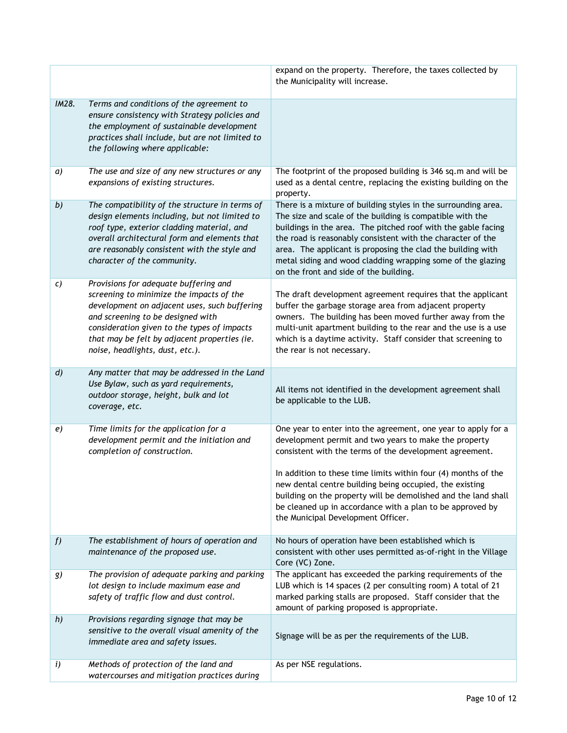|                  |                                                                                                                                                                                                                                                                                                          | expand on the property. Therefore, the taxes collected by<br>the Municipality will increase.                                                                                                                                                                                                                                                                                                                                                                                        |
|------------------|----------------------------------------------------------------------------------------------------------------------------------------------------------------------------------------------------------------------------------------------------------------------------------------------------------|-------------------------------------------------------------------------------------------------------------------------------------------------------------------------------------------------------------------------------------------------------------------------------------------------------------------------------------------------------------------------------------------------------------------------------------------------------------------------------------|
| IM28.            | Terms and conditions of the agreement to<br>ensure consistency with Strategy policies and<br>the employment of sustainable development<br>practices shall include, but are not limited to<br>the following where applicable:                                                                             |                                                                                                                                                                                                                                                                                                                                                                                                                                                                                     |
| a)               | The use and size of any new structures or any<br>expansions of existing structures.                                                                                                                                                                                                                      | The footprint of the proposed building is 346 sq.m and will be<br>used as a dental centre, replacing the existing building on the<br>property.                                                                                                                                                                                                                                                                                                                                      |
| b)               | The compatibility of the structure in terms of<br>design elements including, but not limited to<br>roof type, exterior cladding material, and<br>overall architectural form and elements that<br>are reasonably consistent with the style and<br>character of the community.                             | There is a mixture of building styles in the surrounding area.<br>The size and scale of the building is compatible with the<br>buildings in the area. The pitched roof with the gable facing<br>the road is reasonably consistent with the character of the<br>area. The applicant is proposing the clad the building with<br>metal siding and wood cladding wrapping some of the glazing<br>on the front and side of the building.                                                 |
| C)               | Provisions for adequate buffering and<br>screening to minimize the impacts of the<br>development on adjacent uses, such buffering<br>and screening to be designed with<br>consideration given to the types of impacts<br>that may be felt by adjacent properties (ie.<br>noise, headlights, dust, etc.). | The draft development agreement requires that the applicant<br>buffer the garbage storage area from adjacent property<br>owners. The building has been moved further away from the<br>multi-unit apartment building to the rear and the use is a use<br>which is a daytime activity. Staff consider that screening to<br>the rear is not necessary.                                                                                                                                 |
| $\boldsymbol{d}$ | Any matter that may be addressed in the Land<br>Use Bylaw, such as yard requirements,<br>outdoor storage, height, bulk and lot<br>coverage, etc.                                                                                                                                                         | All items not identified in the development agreement shall<br>be applicable to the LUB.                                                                                                                                                                                                                                                                                                                                                                                            |
| e)               | Time limits for the application for a<br>development permit and the initiation and<br>completion of construction.                                                                                                                                                                                        | One year to enter into the agreement, one year to apply for a<br>development permit and two years to make the property<br>consistent with the terms of the development agreement.<br>In addition to these time limits within four (4) months of the<br>new dental centre building being occupied, the existing<br>building on the property will be demolished and the land shall<br>be cleaned up in accordance with a plan to be approved by<br>the Municipal Development Officer. |
| f                | The establishment of hours of operation and<br>maintenance of the proposed use.                                                                                                                                                                                                                          | No hours of operation have been established which is<br>consistent with other uses permitted as-of-right in the Village<br>Core (VC) Zone.                                                                                                                                                                                                                                                                                                                                          |
| g)               | The provision of adequate parking and parking<br>lot design to include maximum ease and<br>safety of traffic flow and dust control.                                                                                                                                                                      | The applicant has exceeded the parking requirements of the<br>LUB which is 14 spaces (2 per consulting room) A total of 21<br>marked parking stalls are proposed. Staff consider that the<br>amount of parking proposed is appropriate.                                                                                                                                                                                                                                             |
| h)               | Provisions regarding signage that may be<br>sensitive to the overall visual amenity of the<br>immediate area and safety issues.                                                                                                                                                                          | Signage will be as per the requirements of the LUB.                                                                                                                                                                                                                                                                                                                                                                                                                                 |
| i)               | Methods of protection of the land and<br>watercourses and mitigation practices during                                                                                                                                                                                                                    | As per NSE regulations.                                                                                                                                                                                                                                                                                                                                                                                                                                                             |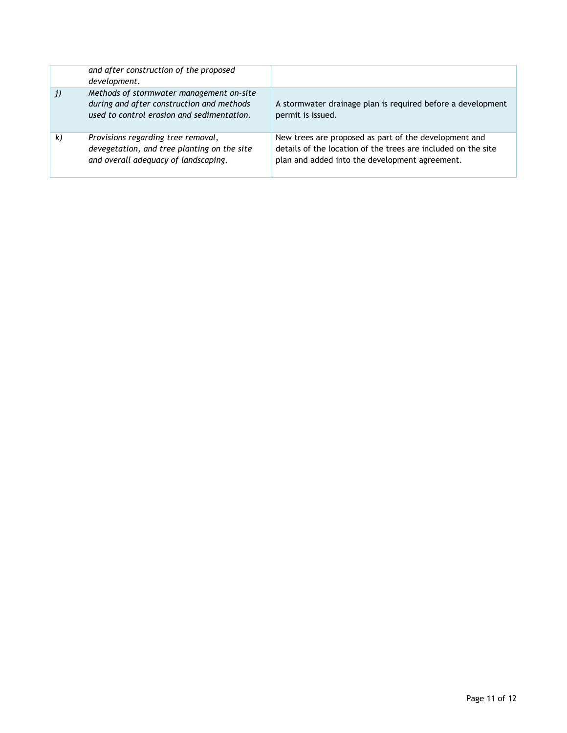|    | and after construction of the proposed<br>development.                                                                              |                                                                                                                                                                          |
|----|-------------------------------------------------------------------------------------------------------------------------------------|--------------------------------------------------------------------------------------------------------------------------------------------------------------------------|
| j) | Methods of stormwater management on-site<br>during and after construction and methods<br>used to control erosion and sedimentation. | A stormwater drainage plan is required before a development<br>permit is issued.                                                                                         |
| k) | Provisions regarding tree removal,<br>devegetation, and tree planting on the site<br>and overall adequacy of landscaping.           | New trees are proposed as part of the development and<br>details of the location of the trees are included on the site<br>plan and added into the development agreement. |